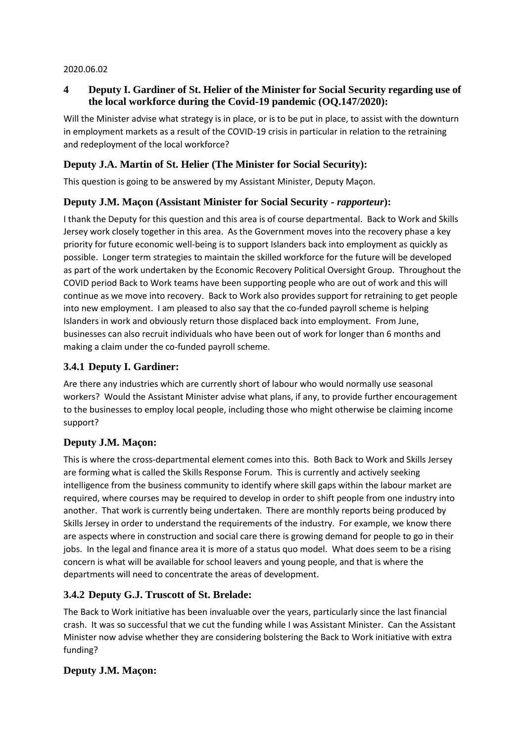#### 2020.06.02

# **4 Deputy I. Gardiner of St. Helier of the Minister for Social Security regarding use of the local workforce during the Covid-19 pandemic (OQ.147/2020):**

Will the Minister advise what strategy is in place, or is to be put in place, to assist with the downturn in employment markets as a result of the COVID-19 crisis in particular in relation to the retraining and redeployment of the local workforce?

# **Deputy J.A. Martin of St. Helier (The Minister for Social Security):**

This question is going to be answered by my Assistant Minister, Deputy Maçon.

## **Deputy J.M. Maçon (Assistant Minister for Social Security -** *rapporteur***):**

I thank the Deputy for this question and this area is of course departmental. Back to Work and Skills Jersey work closely together in this area. As the Government moves into the recovery phase a key priority for future economic well-being is to support Islanders back into employment as quickly as possible. Longer term strategies to maintain the skilled workforce for the future will be developed as part of the work undertaken by the Economic Recovery Political Oversight Group. Throughout the COVID period Back to Work teams have been supporting people who are out of work and this will continue as we move into recovery. Back to Work also provides support for retraining to get people into new employment. I am pleased to also say that the co-funded payroll scheme is helping Islanders in work and obviously return those displaced back into employment. From June, businesses can also recruit individuals who have been out of work for longer than 6 months and making a claim under the co-funded payroll scheme.

# **3.4.1 Deputy I. Gardiner:**

Are there any industries which are currently short of labour who would normally use seasonal workers? Would the Assistant Minister advise what plans, if any, to provide further encouragement to the businesses to employ local people, including those who might otherwise be claiming income support?

# **Deputy J.M. Maçon:**

This is where the cross-departmental element comes into this. Both Back to Work and Skills Jersey are forming what is called the Skills Response Forum. This is currently and actively seeking intelligence from the business community to identify where skill gaps within the labour market are required, where courses may be required to develop in order to shift people from one industry into another. That work is currently being undertaken. There are monthly reports being produced by Skills Jersey in order to understand the requirements of the industry. For example, we know there are aspects where in construction and social care there is growing demand for people to go in their jobs. In the legal and finance area it is more of a status quo model. What does seem to be a rising concern is what will be available for school leavers and young people, and that is where the departments will need to concentrate the areas of development.

# **3.4.2 Deputy G.J. Truscott of St. Brelade:**

The Back to Work initiative has been invaluable over the years, particularly since the last financial crash. It was so successful that we cut the funding while I was Assistant Minister. Can the Assistant Minister now advise whether they are considering bolstering the Back to Work initiative with extra funding?

# **Deputy J.M. Maçon:**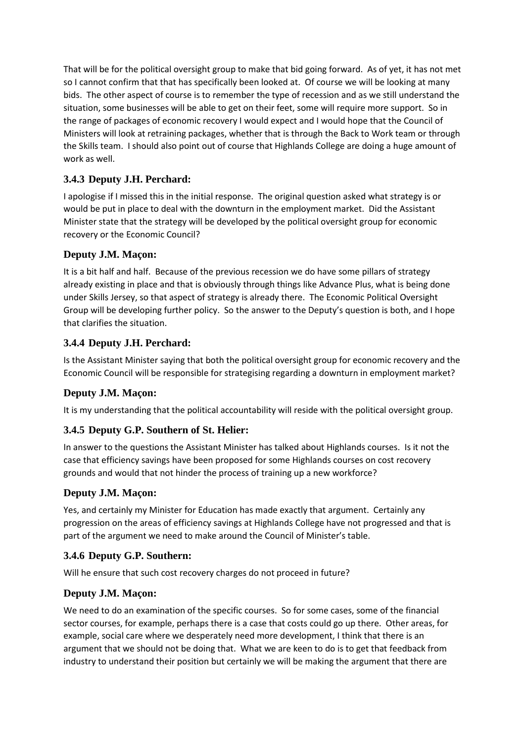That will be for the political oversight group to make that bid going forward. As of yet, it has not met so I cannot confirm that that has specifically been looked at. Of course we will be looking at many bids. The other aspect of course is to remember the type of recession and as we still understand the situation, some businesses will be able to get on their feet, some will require more support. So in the range of packages of economic recovery I would expect and I would hope that the Council of Ministers will look at retraining packages, whether that is through the Back to Work team or through the Skills team. I should also point out of course that Highlands College are doing a huge amount of work as well.

# **3.4.3 Deputy J.H. Perchard:**

I apologise if I missed this in the initial response. The original question asked what strategy is or would be put in place to deal with the downturn in the employment market. Did the Assistant Minister state that the strategy will be developed by the political oversight group for economic recovery or the Economic Council?

## **Deputy J.M. Maçon:**

It is a bit half and half. Because of the previous recession we do have some pillars of strategy already existing in place and that is obviously through things like Advance Plus, what is being done under Skills Jersey, so that aspect of strategy is already there. The Economic Political Oversight Group will be developing further policy. So the answer to the Deputy's question is both, and I hope that clarifies the situation.

## **3.4.4 Deputy J.H. Perchard:**

Is the Assistant Minister saying that both the political oversight group for economic recovery and the Economic Council will be responsible for strategising regarding a downturn in employment market?

# **Deputy J.M. Maçon:**

It is my understanding that the political accountability will reside with the political oversight group.

### **3.4.5 Deputy G.P. Southern of St. Helier:**

In answer to the questions the Assistant Minister has talked about Highlands courses. Is it not the case that efficiency savings have been proposed for some Highlands courses on cost recovery grounds and would that not hinder the process of training up a new workforce?

### **Deputy J.M. Maçon:**

Yes, and certainly my Minister for Education has made exactly that argument. Certainly any progression on the areas of efficiency savings at Highlands College have not progressed and that is part of the argument we need to make around the Council of Minister's table.

### **3.4.6 Deputy G.P. Southern:**

Will he ensure that such cost recovery charges do not proceed in future?

# **Deputy J.M. Maçon:**

We need to do an examination of the specific courses. So for some cases, some of the financial sector courses, for example, perhaps there is a case that costs could go up there. Other areas, for example, social care where we desperately need more development, I think that there is an argument that we should not be doing that. What we are keen to do is to get that feedback from industry to understand their position but certainly we will be making the argument that there are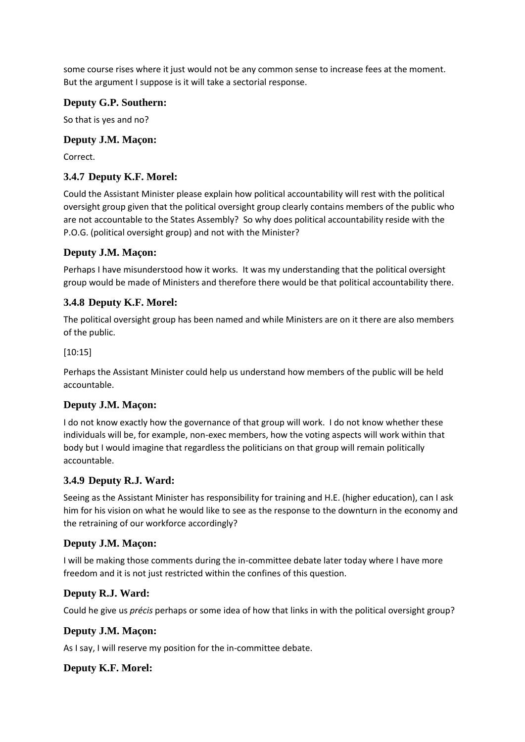some course rises where it just would not be any common sense to increase fees at the moment. But the argument I suppose is it will take a sectorial response.

#### **Deputy G.P. Southern:**

So that is yes and no?

#### **Deputy J.M. Maçon:**

Correct.

# **3.4.7 Deputy K.F. Morel:**

Could the Assistant Minister please explain how political accountability will rest with the political oversight group given that the political oversight group clearly contains members of the public who are not accountable to the States Assembly? So why does political accountability reside with the P.O.G. (political oversight group) and not with the Minister?

### **Deputy J.M. Maçon:**

Perhaps I have misunderstood how it works. It was my understanding that the political oversight group would be made of Ministers and therefore there would be that political accountability there.

## **3.4.8 Deputy K.F. Morel:**

The political oversight group has been named and while Ministers are on it there are also members of the public.

#### [10:15]

Perhaps the Assistant Minister could help us understand how members of the public will be held accountable.

### **Deputy J.M. Maçon:**

I do not know exactly how the governance of that group will work. I do not know whether these individuals will be, for example, non-exec members, how the voting aspects will work within that body but I would imagine that regardless the politicians on that group will remain politically accountable.

#### **3.4.9 Deputy R.J. Ward:**

Seeing as the Assistant Minister has responsibility for training and H.E. (higher education), can I ask him for his vision on what he would like to see as the response to the downturn in the economy and the retraining of our workforce accordingly?

#### **Deputy J.M. Maçon:**

I will be making those comments during the in-committee debate later today where I have more freedom and it is not just restricted within the confines of this question.

### **Deputy R.J. Ward:**

Could he give us *précis* perhaps or some idea of how that links in with the political oversight group?

### **Deputy J.M. Maçon:**

As I say, I will reserve my position for the in-committee debate.

### **Deputy K.F. Morel:**